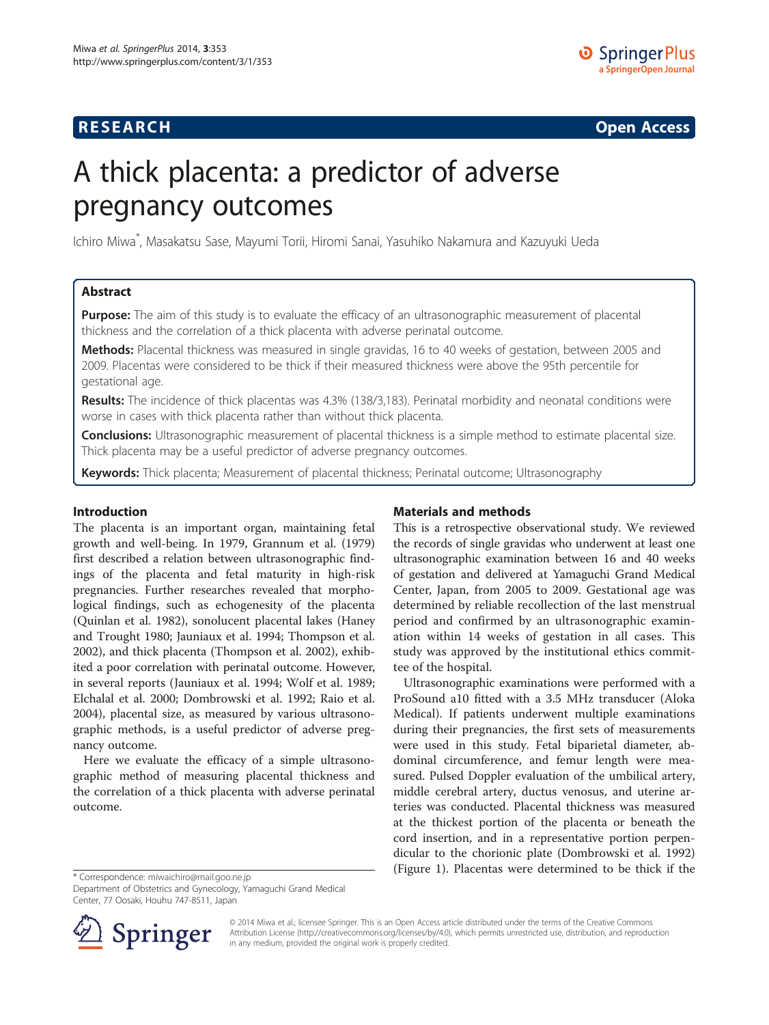## **RESEARCH RESEARCH** *CHECKER CHECKER CHECKER CHECKER CHECKER CHECKER CHECKER CHECKER CHECKER CHECKER CHECKER*

# A thick placenta: a predictor of adverse pregnancy outcomes

Ichiro Miwa\* , Masakatsu Sase, Mayumi Torii, Hiromi Sanai, Yasuhiko Nakamura and Kazuyuki Ueda

## Abstract

**Purpose:** The aim of this study is to evaluate the efficacy of an ultrasonographic measurement of placental thickness and the correlation of a thick placenta with adverse perinatal outcome.

Methods: Placental thickness was measured in single gravidas, 16 to 40 weeks of gestation, between 2005 and 2009. Placentas were considered to be thick if their measured thickness were above the 95th percentile for gestational age.

Results: The incidence of thick placentas was 4.3% (138/3,183). Perinatal morbidity and neonatal conditions were worse in cases with thick placenta rather than without thick placenta.

**Conclusions:** Ultrasonographic measurement of placental thickness is a simple method to estimate placental size. Thick placenta may be a useful predictor of adverse pregnancy outcomes.

Keywords: Thick placenta; Measurement of placental thickness; Perinatal outcome; Ultrasonography

## Introduction

The placenta is an important organ, maintaining fetal growth and well-being. In 1979, Grannum et al. ([1979](#page-3-0)) first described a relation between ultrasonographic findings of the placenta and fetal maturity in high-risk pregnancies. Further researches revealed that morphological findings, such as echogenesity of the placenta (Quinlan et al. [1982](#page-3-0)), sonolucent placental lakes (Haney and Trought [1980](#page-3-0); Jauniaux et al. [1994;](#page-3-0) Thompson et al. [2002](#page-3-0)), and thick placenta (Thompson et al. [2002](#page-3-0)), exhibited a poor correlation with perinatal outcome. However, in several reports (Jauniaux et al. [1994](#page-3-0); Wolf et al. [1989](#page-3-0); Elchalal et al. [2000](#page-3-0); Dombrowski et al. [1992](#page-3-0); Raio et al. [2004](#page-3-0)), placental size, as measured by various ultrasonographic methods, is a useful predictor of adverse pregnancy outcome.

Here we evaluate the efficacy of a simple ultrasonographic method of measuring placental thickness and the correlation of a thick placenta with adverse perinatal outcome.

## Materials and methods

This is a retrospective observational study. We reviewed the records of single gravidas who underwent at least one ultrasonographic examination between 16 and 40 weeks of gestation and delivered at Yamaguchi Grand Medical Center, Japan, from 2005 to 2009. Gestational age was determined by reliable recollection of the last menstrual period and confirmed by an ultrasonographic examination within 14 weeks of gestation in all cases. This study was approved by the institutional ethics committee of the hospital.

Ultrasonographic examinations were performed with a ProSound a10 fitted with a 3.5 MHz transducer (Aloka Medical). If patients underwent multiple examinations during their pregnancies, the first sets of measurements were used in this study. Fetal biparietal diameter, abdominal circumference, and femur length were measured. Pulsed Doppler evaluation of the umbilical artery, middle cerebral artery, ductus venosus, and uterine arteries was conducted. Placental thickness was measured at the thickest portion of the placenta or beneath the cord insertion, and in a representative portion perpendicular to the chorionic plate (Dombrowski et al. [1992](#page-3-0)) \*Correspondence: miwaichiro@mail.goo.ne.jp (Figure [1](#page-1-0)). Placentas were determined to be thick if the

Department of Obstetrics and Gynecology, Yamaguchi Grand Medical Center, 77 Oosaki, Houhu 747-8511, Japan



© 2014 Miwa et al.; licensee Springer. This is an Open Access article distributed under the terms of the Creative Commons Attribution License [\(http://creativecommons.org/licenses/by/4.0\)](http://creativecommons.org/licenses/by/4.0), which permits unrestricted use, distribution, and reproduction in any medium, provided the original work is properly credited.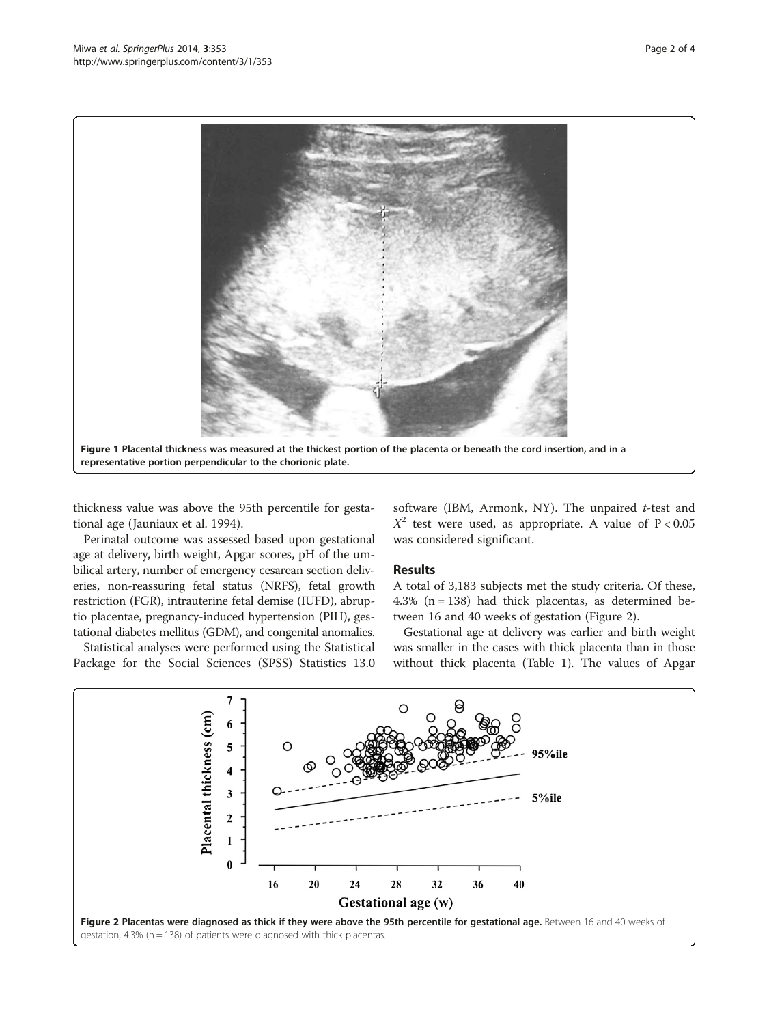<span id="page-1-0"></span>

thickness value was above the 95th percentile for gestational age (Jauniaux et al. [1994](#page-3-0)).

Perinatal outcome was assessed based upon gestational age at delivery, birth weight, Apgar scores, pH of the umbilical artery, number of emergency cesarean section deliveries, non-reassuring fetal status (NRFS), fetal growth restriction (FGR), intrauterine fetal demise (IUFD), abruptio placentae, pregnancy-induced hypertension (PIH), gestational diabetes mellitus (GDM), and congenital anomalies.

Statistical analyses were performed using the Statistical Package for the Social Sciences (SPSS) Statistics 13.0

software (IBM, Armonk, NY). The unpaired  $t$ -test and  $X^2$  test were used, as appropriate. A value of  $P < 0.05$ was considered significant.

## Results

A total of 3,183 subjects met the study criteria. Of these, 4.3% (n = 138) had thick placentas, as determined between 16 and 40 weeks of gestation (Figure 2).

Gestational age at delivery was earlier and birth weight was smaller in the cases with thick placenta than in those without thick placenta (Table [1](#page-2-0)). The values of Apgar

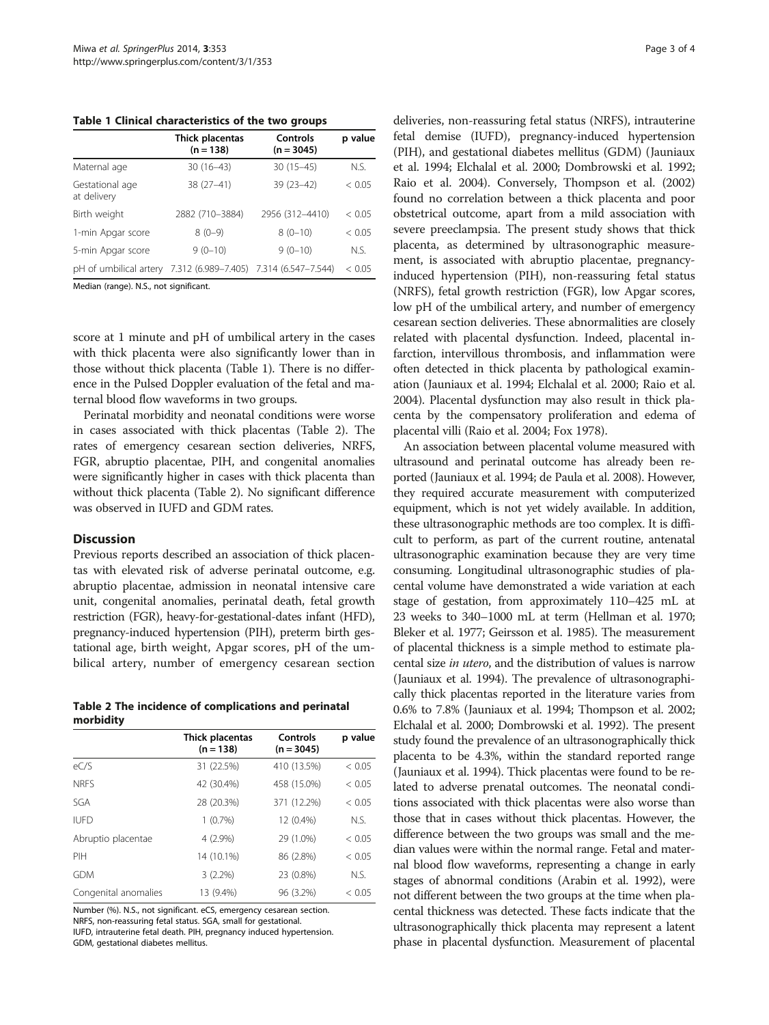<span id="page-2-0"></span>Table 1 Clinical characteristics of the two groups

|                                | Thick placentas<br>$(n = 138)$          | Controls<br>$(n = 3045)$ | p value |
|--------------------------------|-----------------------------------------|--------------------------|---------|
| Maternal age                   | $30(16-43)$                             | $30(15-45)$              | N.S.    |
| Gestational age<br>at delivery | $38(27-41)$                             | $39(23-42)$              | < 0.05  |
| Birth weight                   | 2882 (710-3884)                         | 2956 (312-4410)          | < 0.05  |
| 1-min Apgar score              | $8(0-9)$                                | $8(0-10)$                | < 0.05  |
| 5-min Apgar score              | $9(0-10)$                               | $9(0-10)$                | N S     |
| pH of umbilical artery         | 7.312 (6.989-7.405) 7.314 (6.547-7.544) |                          | < 0.05  |

Median (range). N.S., not significant.

score at 1 minute and pH of umbilical artery in the cases with thick placenta were also significantly lower than in those without thick placenta (Table 1). There is no difference in the Pulsed Doppler evaluation of the fetal and maternal blood flow waveforms in two groups.

Perinatal morbidity and neonatal conditions were worse in cases associated with thick placentas (Table 2). The rates of emergency cesarean section deliveries, NRFS, FGR, abruptio placentae, PIH, and congenital anomalies were significantly higher in cases with thick placenta than without thick placenta (Table 2). No significant difference was observed in IUFD and GDM rates.

### **Discussion**

Previous reports described an association of thick placentas with elevated risk of adverse perinatal outcome, e.g. abruptio placentae, admission in neonatal intensive care unit, congenital anomalies, perinatal death, fetal growth restriction (FGR), heavy-for-gestational-dates infant (HFD), pregnancy-induced hypertension (PIH), preterm birth gestational age, birth weight, Apgar scores, pH of the umbilical artery, number of emergency cesarean section

|           | Table 2 The incidence of complications and perinatal |  |  |
|-----------|------------------------------------------------------|--|--|
| morbidity |                                                      |  |  |

|                      | Thick placentas<br>$(n = 138)$ | Controls<br>$(n = 3045)$ | p value |
|----------------------|--------------------------------|--------------------------|---------|
| eC/S                 | 31 (22.5%)                     | 410 (13.5%)              | < 0.05  |
| <b>NRFS</b>          | 42 (30.4%)                     | 458 (15.0%)              | < 0.05  |
| SGA                  | 28 (20.3%)                     | 371 (12.2%)              | < 0.05  |
| <b>IUFD</b>          | $1(0.7\%)$                     | 12 (0.4%)                | N.S.    |
| Abruptio placentae   | $4(2.9\%)$                     | 29 (1.0%)                | < 0.05  |
| PIH                  | 14 (10.1%)                     | 86 (2.8%)                | < 0.05  |
| <b>GDM</b>           | $3(2.2\%)$                     | 23 (0.8%)                | N.S.    |
| Congenital anomalies | 13 (9.4%)                      | 96 (3.2%)                | < 0.05  |

Number (%). N.S., not significant. eCS, emergency cesarean section. NRFS, non-reassuring fetal status. SGA, small for gestational. IUFD, intrauterine fetal death. PIH, pregnancy induced hypertension.

GDM, gestational diabetes mellitus.

deliveries, non-reassuring fetal status (NRFS), intrauterine fetal demise (IUFD), pregnancy-induced hypertension (PIH), and gestational diabetes mellitus (GDM) (Jauniaux et al. [1994;](#page-3-0) Elchalal et al. [2000;](#page-3-0) Dombrowski et al. [1992](#page-3-0); Raio et al. [2004\)](#page-3-0). Conversely, Thompson et al. [\(2002](#page-3-0)) found no correlation between a thick placenta and poor obstetrical outcome, apart from a mild association with severe preeclampsia. The present study shows that thick placenta, as determined by ultrasonographic measurement, is associated with abruptio placentae, pregnancyinduced hypertension (PIH), non-reassuring fetal status (NRFS), fetal growth restriction (FGR), low Apgar scores, low pH of the umbilical artery, and number of emergency cesarean section deliveries. These abnormalities are closely related with placental dysfunction. Indeed, placental infarction, intervillous thrombosis, and inflammation were often detected in thick placenta by pathological examination (Jauniaux et al. [1994](#page-3-0); Elchalal et al. [2000;](#page-3-0) Raio et al. [2004](#page-3-0)). Placental dysfunction may also result in thick placenta by the compensatory proliferation and edema of placental villi (Raio et al. [2004](#page-3-0); Fox [1978](#page-3-0)).

An association between placental volume measured with ultrasound and perinatal outcome has already been reported (Jauniaux et al. [1994](#page-3-0); de Paula et al. [2008\)](#page-3-0). However, they required accurate measurement with computerized equipment, which is not yet widely available. In addition, these ultrasonographic methods are too complex. It is difficult to perform, as part of the current routine, antenatal ultrasonographic examination because they are very time consuming. Longitudinal ultrasonographic studies of placental volume have demonstrated a wide variation at each stage of gestation, from approximately 110–425 mL at 23 weeks to 340–1000 mL at term (Hellman et al. [1970](#page-3-0); Bleker et al. [1977;](#page-3-0) Geirsson et al. [1985\)](#page-3-0). The measurement of placental thickness is a simple method to estimate placental size in utero, and the distribution of values is narrow (Jauniaux et al. [1994\)](#page-3-0). The prevalence of ultrasonographically thick placentas reported in the literature varies from 0.6% to 7.8% (Jauniaux et al. [1994](#page-3-0); Thompson et al. [2002](#page-3-0); Elchalal et al. [2000](#page-3-0); Dombrowski et al. [1992\)](#page-3-0). The present study found the prevalence of an ultrasonographically thick placenta to be 4.3%, within the standard reported range (Jauniaux et al. [1994](#page-3-0)). Thick placentas were found to be related to adverse prenatal outcomes. The neonatal conditions associated with thick placentas were also worse than those that in cases without thick placentas. However, the difference between the two groups was small and the median values were within the normal range. Fetal and maternal blood flow waveforms, representing a change in early stages of abnormal conditions (Arabin et al. [1992](#page-3-0)), were not different between the two groups at the time when placental thickness was detected. These facts indicate that the ultrasonographically thick placenta may represent a latent phase in placental dysfunction. Measurement of placental